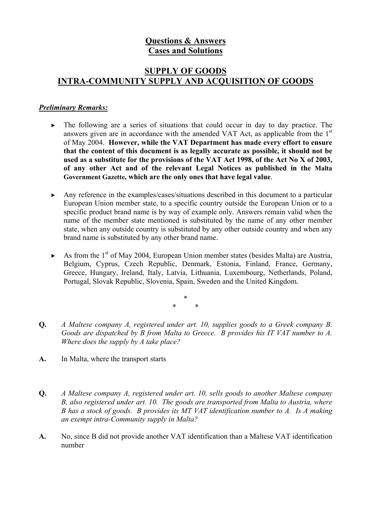# **Questions & Answers Cases and Solutions**

# **SUPPLY OF GOODS INTRA-COMMUNITY SUPPLY AND ACQUISITION OF GOODS**

#### *Preliminary Remarks:*

- $\triangleright$  The following are a series of situations that could occur in day to day practice. The answers given are in accordance with the amended VAT Act, as applicable from the  $1<sup>st</sup>$ of May 2004. **However, while the VAT Department has made every effort to ensure that the content of this document is as legally accurate as possible, it should not be used as a substitute for the provisions of the VAT Act 1998, of the Act No X of 2003, of any other Act and of the relevant Legal Notices as published in the Malta Government Gazette, which are the only ones that have legal value**.
- $\triangleright$  Any reference in the examples/cases/situations described in this document to a particular European Union member state, to a specific country outside the European Union or to a specific product brand name is by way of example only. Answers remain valid when the name of the member state mentioned is substituted by the name of any other member state, when any outside country is substituted by any other outside country and when any brand name is substituted by any other brand name.
- $\triangleright$  As from the 1<sup>st</sup> of May 2004, European Union member states (besides Malta) are Austria, Belgium, Cyprus, Czech Republic, Denmark, Estonia, Finland, France, Germany, Greece, Hungary, Ireland, Italy, Latvia, Lithuania, Luxembourg, Netherlands, Poland, Portugal, Slovak Republic, Slovenia, Spain, Sweden and the United Kingdom.

\* \* \*

- **Q.** *A Maltese company A, registered under art. 10, supplies goods to a Greek company B. Goods are dispatched by B from Malta to Greece. B provides his IT VAT number to A. Where does the supply by A take place?*
- **A.** In Malta, where the transport starts
- **Q.** *A Maltese company A, registered under art. 10, sells goods to another Maltese company B, also registered under art. 10. The goods are transported from Malta to Austria, where B has a stock of goods. B provides its MT VAT identification number to A. Is A making an exempt intra-Community supply in Malta?*
- **A.** No, since B did not provide another VAT identification than a Maltese VAT identification number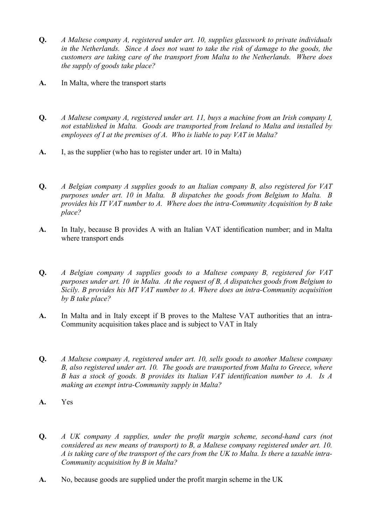- **Q.** *A Maltese company A, registered under art. 10, supplies glasswork to private individuals in the Netherlands. Since A does not want to take the risk of damage to the goods, the customers are taking care of the transport from Malta to the Netherlands. Where does the supply of goods take place?*
- **A.** In Malta, where the transport starts
- **Q.** *A Maltese company A, registered under art. 11, buys a machine from an Irish company I, not established in Malta. Goods are transported from Ireland to Malta and installed by employees of I at the premises of A. Who is liable to pay VAT in Malta?*
- **A.** I, as the supplier (who has to register under art. 10 in Malta)
- **Q.** *A Belgian company A supplies goods to an Italian company B, also registered for VAT purposes under art. 10 in Malta. B dispatches the goods from Belgium to Malta. B provides his IT VAT number to A. Where does the intra-Community Acquisition by B take place?*
- **A.** In Italy, because B provides A with an Italian VAT identification number; and in Malta where transport ends
- **Q.** *A Belgian company A supplies goods to a Maltese company B, registered for VAT purposes under art. 10 in Malta. At the request of B, A dispatches goods from Belgium to Sicily. B provides his MT VAT number to A. Where does an intra-Community acquisition by B take place?*
- **A.** In Malta and in Italy except if B proves to the Maltese VAT authorities that an intra-Community acquisition takes place and is subject to VAT in Italy
- **Q.** *A Maltese company A, registered under art. 10, sells goods to another Maltese company B, also registered under art. 10. The goods are transported from Malta to Greece, where B has a stock of goods. B provides its Italian VAT identification number to A. Is A making an exempt intra-Community supply in Malta?*
- **A.** Yes
- **Q.** *A UK company A supplies, under the profit margin scheme, second-hand cars (not considered as new means of transport) to B, a Maltese company registered under art. 10. A is taking care of the transport of the cars from the UK to Malta. Is there a taxable intra-Community acquisition by B in Malta?*
- **A.** No, because goods are supplied under the profit margin scheme in the UK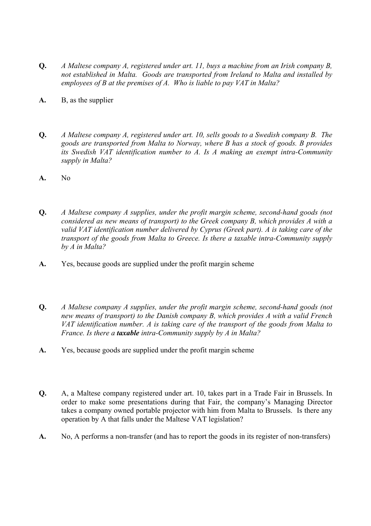- **Q.** *A Maltese company A, registered under art. 11, buys a machine from an Irish company B, not established in Malta. Goods are transported from Ireland to Malta and installed by employees of B at the premises of A. Who is liable to pay VAT in Malta?*
- **A.** B, as the supplier
- **Q.** *A Maltese company A, registered under art. 10, sells goods to a Swedish company B. The goods are transported from Malta to Norway, where B has a stock of goods. B provides its Swedish VAT identification number to A. Is A making an exempt intra-Community supply in Malta?*
- **A.** No
- **Q.** *A Maltese company A supplies, under the profit margin scheme, second-hand goods (not considered as new means of transport) to the Greek company B, which provides A with a valid VAT identification number delivered by Cyprus (Greek part). A is taking care of the transport of the goods from Malta to Greece. Is there a taxable intra-Community supply by A in Malta?*
- **A.** Yes, because goods are supplied under the profit margin scheme
- **Q.** *A Maltese company A supplies, under the profit margin scheme, second-hand goods (not new means of transport) to the Danish company B, which provides A with a valid French VAT identification number. A is taking care of the transport of the goods from Malta to France. Is there a taxable intra-Community supply by A in Malta?*
- **A.** Yes, because goods are supplied under the profit margin scheme
- **Q.** A, a Maltese company registered under art. 10, takes part in a Trade Fair in Brussels. In order to make some presentations during that Fair, the company's Managing Director takes a company owned portable projector with him from Malta to Brussels. Is there any operation by A that falls under the Maltese VAT legislation?
- **A.** No, A performs a non-transfer (and has to report the goods in its register of non-transfers)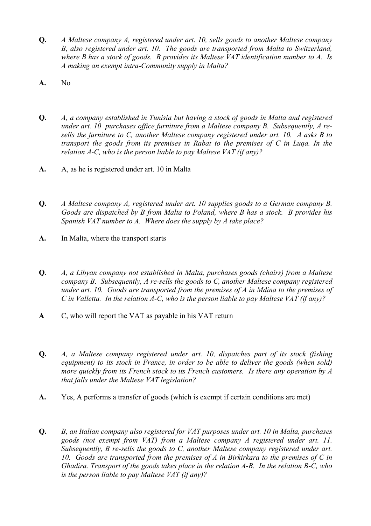- **Q.** *A Maltese company A, registered under art. 10, sells goods to another Maltese company B, also registered under art. 10. The goods are transported from Malta to Switzerland, where B has a stock of goods. B provides its Maltese VAT identification number to A. Is A making an exempt intra-Community supply in Malta?*
- **A.** No
- **Q.** *A, a company established in Tunisia but having a stock of goods in Malta and registered under art. 10 purchases office furniture from a Maltese company B. Subsequently, A resells the furniture to C, another Maltese company registered under art. 10. A asks B to transport the goods from its premises in Rabat to the premises of C in Luqa. In the relation A-C, who is the person liable to pay Maltese VAT (if any)?*
- **A.** A, as he is registered under art. 10 in Malta
- **Q.** *A Maltese company A, registered under art. 10 supplies goods to a German company B. Goods are dispatched by B from Malta to Poland, where B has a stock. B provides his Spanish VAT number to A. Where does the supply by A take place?*
- **A.** In Malta, where the transport starts
- **Q**. *A, a Libyan company not established in Malta, purchases goods (chairs) from a Maltese company B. Subsequently, A re-sells the goods to C, another Maltese company registered under art. 10. Goods are transported from the premises of A in Mdina to the premises of C in Valletta. In the relation A-C, who is the person liable to pay Maltese VAT (if any)?*
- **A** C, who will report the VAT as payable in his VAT return
- **Q.** *A, a Maltese company registered under art. 10, dispatches part of its stock (fishing equipment) to its stock in France, in order to be able to deliver the goods (when sold) more quickly from its French stock to its French customers. Is there any operation by A that falls under the Maltese VAT legislation?*
- **A.** Yes, A performs a transfer of goods (which is exempt if certain conditions are met)
- **Q.** *B, an Italian company also registered for VAT purposes under art. 10 in Malta, purchases goods (not exempt from VAT) from a Maltese company A registered under art. 11. Subsequently, B re-sells the goods to C, another Maltese company registered under art. 10. Goods are transported from the premises of A in Birkirkara to the premises of C in Ghadira. Transport of the goods takes place in the relation A-B. In the relation B-C, who is the person liable to pay Maltese VAT (if any)?*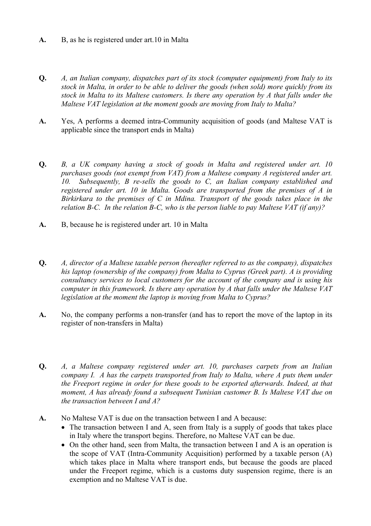- **A.** B, as he is registered under art.10 in Malta
- **Q.** *A, an Italian company, dispatches part of its stock (computer equipment) from Italy to its stock in Malta, in order to be able to deliver the goods (when sold) more quickly from its stock in Malta to its Maltese customers. Is there any operation by A that falls under the Maltese VAT legislation at the moment goods are moving from Italy to Malta?*
- **A.** Yes, A performs a deemed intra-Community acquisition of goods (and Maltese VAT is applicable since the transport ends in Malta)
- **Q.** *B, a UK company having a stock of goods in Malta and registered under art. 10 purchases goods (not exempt from VAT) from a Maltese company A registered under art. 10. Subsequently, B re-sells the goods to C, an Italian company established and registered under art. 10 in Malta. Goods are transported from the premises of A in Birkirkara to the premises of C in Mdina. Transport of the goods takes place in the relation B-C. In the relation B-C, who is the person liable to pay Maltese VAT (if any)?*
- **A.** B, because he is registered under art. 10 in Malta
- **Q.** *A, director of a Maltese taxable person (hereafter referred to as the company), dispatches his laptop (ownership of the company) from Malta to Cyprus (Greek part). A is providing consultancy services to local customers for the account of the company and is using his computer in this framework. Is there any operation by A that falls under the Maltese VAT legislation at the moment the laptop is moving from Malta to Cyprus?*
- **A.** No, the company performs a non-transfer (and has to report the move of the laptop in its register of non-transfers in Malta)
- **Q.** *A, a Maltese company registered under art. 10, purchases carpets from an Italian company I. A has the carpets transported from Italy to Malta, where A puts them under the Freeport regime in order for these goods to be exported afterwards. Indeed, at that moment, A has already found a subsequent Tunisian customer B. Is Maltese VAT due on the transaction between I and A?*
- **A.** No Maltese VAT is due on the transaction between I and A because:
	- The transaction between I and A, seen from Italy is a supply of goods that takes place in Italy where the transport begins. Therefore, no Maltese VAT can be due.
	- On the other hand, seen from Malta, the transaction between I and A is an operation is the scope of VAT (Intra-Community Acquisition) performed by a taxable person (A) which takes place in Malta where transport ends, but because the goods are placed under the Freeport regime, which is a customs duty suspension regime, there is an exemption and no Maltese VAT is due.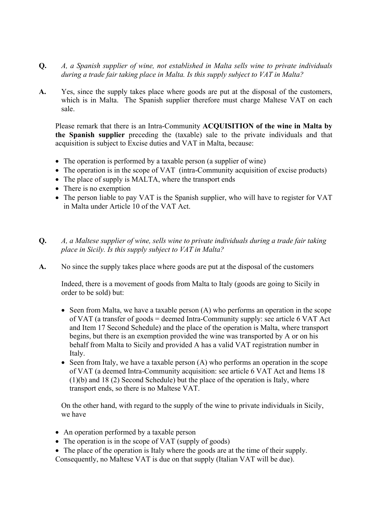- **Q.** *A, a Spanish supplier of wine, not established in Malta sells wine to private individuals during a trade fair taking place in Malta. Is this supply subject to VAT in Malta?*
- **A.** Yes, since the supply takes place where goods are put at the disposal of the customers, which is in Malta. The Spanish supplier therefore must charge Maltese VAT on each sale.

Please remark that there is an Intra-Community **ACQUISITION of the wine in Malta by the Spanish supplier** preceding the (taxable) sale to the private individuals and that acquisition is subject to Excise duties and VAT in Malta, because:

- The operation is performed by a taxable person (a supplier of wine)
- The operation is in the scope of VAT (intra-Community acquisition of excise products)
- The place of supply is MALTA, where the transport ends
- There is no exemption
- The person liable to pay VAT is the Spanish supplier, who will have to register for VAT in Malta under Article 10 of the VAT Act.
- **Q.** *A, a Maltese supplier of wine, sells wine to private individuals during a trade fair taking place in Sicily. Is this supply subject to VAT in Malta?*
- **A.** No since the supply takes place where goods are put at the disposal of the customers

Indeed, there is a movement of goods from Malta to Italy (goods are going to Sicily in order to be sold) but:

- Seen from Malta, we have a taxable person (A) who performs an operation in the scope of VAT (a transfer of goods = deemed Intra-Community supply: see article 6 VAT Act and Item 17 Second Schedule) and the place of the operation is Malta, where transport begins, but there is an exemption provided the wine was transported by A or on his behalf from Malta to Sicily and provided A has a valid VAT registration number in Italy.
- Seen from Italy, we have a taxable person (A) who performs an operation in the scope of VAT (a deemed Intra-Community acquisition: see article 6 VAT Act and Items 18 (1)(b) and 18 (2) Second Schedule) but the place of the operation is Italy, where transport ends, so there is no Maltese VAT.

On the other hand, with regard to the supply of the wine to private individuals in Sicily, we have

- An operation performed by a taxable person
- The operation is in the scope of VAT (supply of goods)
- The place of the operation is Italy where the goods are at the time of their supply.
- Consequently, no Maltese VAT is due on that supply (Italian VAT will be due).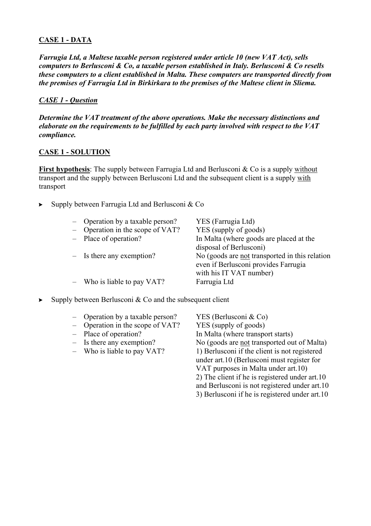# **CASE 1 - DATA**

*Farrugia Ltd, a Maltese taxable person registered under article 10 (new VAT Act), sells computers to Berlusconi & Co, a taxable person established in Italy. Berlusconi & Co resells these computers to a client established in Malta. These computers are transported directly from the premises of Farrugia Ltd in Birkirkara to the premises of the Maltese client in Sliema.* 

# *CASE 1 - Question*

*Determine the VAT treatment of the above operations. Make the necessary distinctions and elaborate on the requirements to be fulfilled by each party involved with respect to the VAT compliance.* 

#### **CASE 1 - SOLUTION**

**First hypothesis**: The supply between Farrugia Ltd and Berlusconi & Co is a supply without transport and the supply between Berlusconi Ltd and the subsequent client is a supply with transport

 $\triangleright$  Supply between Farrugia Ltd and Berlusconi & Co

| - Operation by a taxable person? | YES (Farrugia Ltd)                             |
|----------------------------------|------------------------------------------------|
| - Operation in the scope of VAT? | YES (supply of goods)                          |
| - Place of operation?            | In Malta (where goods are placed at the        |
|                                  | disposal of Berlusconi)                        |
| $-$ Is there any exemption?      | No (goods are not transported in this relation |
|                                  | even if Berlusconi provides Farrugia           |
|                                  | with his IT VAT number)                        |
| - Who is liable to pay VAT?      | Farrugia Ltd                                   |
|                                  |                                                |

 $\triangleright$  Supply between Berlusconi & Co and the subsequent client

| - Operation by a taxable person?    | YES (Berlusconi $& \text{Co}$ )                |
|-------------------------------------|------------------------------------------------|
| - Operation in the scope of $VAT$ ? | YES (supply of goods)                          |
| - Place of operation?               | In Malta (where transport starts)              |
| $-$ Is there any exemption?         | No (goods are not transported out of Malta)    |
| - Who is liable to pay VAT?         | 1) Berlusconi if the client is not registered  |
|                                     | under art.10 (Berlusconi must register for     |
|                                     | VAT purposes in Malta under art.10)            |
|                                     | 2) The client if he is registered under art.10 |
|                                     | and Berlusconi is not registered under art.10  |
|                                     | 3) Berlusconi if he is registered under art.10 |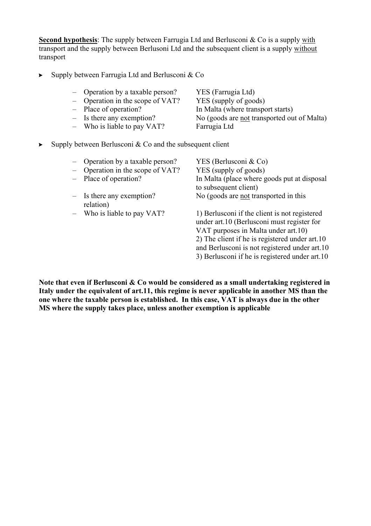**Second hypothesis**: The supply between Farrugia Ltd and Berlusconi & Co is a supply with transport and the supply between Berlusoni Ltd and the subsequent client is a supply without transport

- $\triangleright$  Supply between Farrugia Ltd and Berlusconi & Co
	- Operation by a taxable person? YES (Farrugia Ltd)
	- Operation in the scope of VAT? YES (supply of goods)
	-
	-
	- Who is liable to pay VAT? Farrugia Ltd

– Place of operation? In Malta (where transport starts)

- Is there any exemption? No (goods are <u>not</u> transported out of Malta)
- $\triangleright$  Supply between Berlusconi & Co and the subsequent client
	- Operation by a taxable person? YES (Berlusconi & Co)
	- Operation in the scope of VAT? YES (supply of goods)
	-
	- relation)
	-

Place of operation? In Malta (place where goods put at disposal to subsequent client) – Is there any exemption? No (goods are not transported in this

– Who is liable to pay VAT? 1) Berlusconi if the client is not registered under art.10 (Berlusconi must register for VAT purposes in Malta under art.10) 2) The client if he is registered under art.10 and Berlusconi is not registered under art.10 3) Berlusconi if he is registered under art.10

**Note that even if Berlusconi & Co would be considered as a small undertaking registered in Italy under the equivalent of art.11, this regime is never applicable in another MS than the one where the taxable person is established. In this case, VAT is always due in the other MS where the supply takes place, unless another exemption is applicable**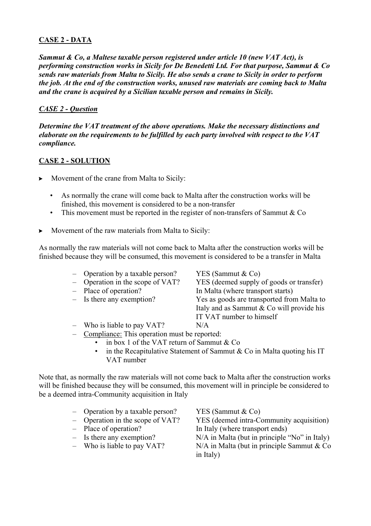# **CASE 2 - DATA**

*Sammut & Co, a Maltese taxable person registered under article 10 (new VAT Act), is performing construction works in Sicily for De Benedetti Ltd. For that purpose, Sammut & Co sends raw materials from Malta to Sicily. He also sends a crane to Sicily in order to perform the job. At the end of the construction works, unused raw materials are coming back to Malta and the crane is acquired by a Sicilian taxable person and remains in Sicily.* 

## *CASE 2 - Question*

*Determine the VAT treatment of the above operations. Make the necessary distinctions and elaborate on the requirements to be fulfilled by each party involved with respect to the VAT compliance.* 

## **CASE 2 - SOLUTION**

- $\triangleright$  Movement of the crane from Malta to Sicily:
	- As normally the crane will come back to Malta after the construction works will be finished, this movement is considered to be a non-transfer
	- This movement must be reported in the register of non-transfers of Sammut  $\&$  Co
- $\triangleright$  Movement of the raw materials from Malta to Sicily:

As normally the raw materials will not come back to Malta after the construction works will be finished because they will be consumed, this movement is considered to be a transfer in Malta

- Operation by a taxable person? YES (Sammut & Co)
- 
- 
- 
- 

– Operation in the scope of VAT? YES (deemed supply of goods or transfer) – Place of operation? In Malta (where transport starts) – Is there any exemption? Yes as goods are transported from Malta to Italy and as Sammut & Co will provide his IT VAT number to himself

- Who is liable to pay VAT? N/A
- Compliance: This operation must be reported:
	- in box 1 of the VAT return of Sammut & Co
	- in the Recapitulative Statement of Sammut & Co in Malta quoting his IT VAT number

Note that, as normally the raw materials will not come back to Malta after the construction works will be finished because they will be consumed, this movement will in principle be considered to be a deemed intra-Community acquisition in Italy

- Operation by a taxable person? YES (Sammut  $& \text{Co}$ )
- 
- 
- 
- 

– Operation in the scope of VAT? YES (deemed intra-Community acquisition) – Place of operation? In Italy (where transport ends)

 $-$  Is there any exemption? N/A in Malta (but in principle "No" in Italy) – Who is liable to pay VAT? N/A in Malta (but in principle Sammut  $& Co$ in Italy)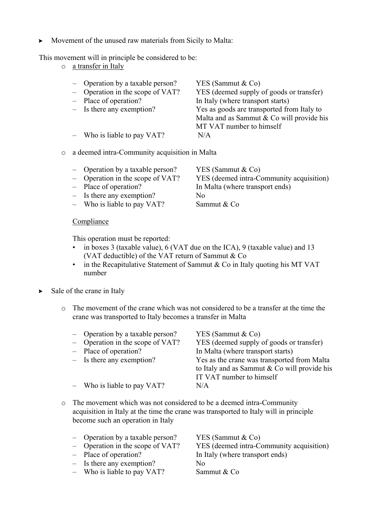$\triangleright$  Movement of the unused raw materials from Sicily to Malta:

This movement will in principle be considered to be:

o a transfer in Italy

| - Operation by a taxable person?   | YES (Sammut $& Co$ )                       |
|------------------------------------|--------------------------------------------|
| $-$ Operation in the scope of VAT? | YES (deemed supply of goods or transfer)   |
| - Place of operation?              | In Italy (where transport starts)          |
| $-$ Is there any exemption?        | Yes as goods are transported from Italy to |
|                                    | Malta and as Sammut & Co will provide his  |
|                                    | MT VAT number to himself                   |
| $-$ Who is liable to pay VAT?      | N/A                                        |
|                                    |                                            |

o a deemed intra-Community acquisition in Malta

| - Operation by a taxable person? | YES (Sammut $& Co$ )                     |
|----------------------------------|------------------------------------------|
| - Operation in the scope of VAT? | YES (deemed intra-Community acquisition) |

- Place of operation? In Malta (where transport ends)
- Is there any exemption? No
- Who is liable to pay VAT? Sammut & Co

#### **Compliance**

This operation must be reported:

- in boxes 3 (taxable value), 6 (VAT due on the ICA), 9 (taxable value) and 13 (VAT deductible) of the VAT return of Sammut & Co
- in the Recapitulative Statement of Sammut & Co in Italy quoting his MT VAT number
- $\triangleright$  Sale of the crane in Italy
	- o The movement of the crane which was not considered to be a transfer at the time the crane was transported to Italy becomes a transfer in Malta

| - Operation by a taxable person?<br>- Operation in the scope of VAT?<br>- Place of operation?<br>$-$ Is there any exemption? | YES (Sammut $& Co$ )<br>YES (deemed supply of goods or transfer)<br>In Malta (where transport starts)<br>Yes as the crane was transported from Malta<br>to Italy and as Sammut & Co will provide his |
|------------------------------------------------------------------------------------------------------------------------------|------------------------------------------------------------------------------------------------------------------------------------------------------------------------------------------------------|
| $-$ Who is liable to pay VAT?                                                                                                | IT VAT number to himself<br>N/A                                                                                                                                                                      |

o The movement which was not considered to be a deemed intra-Community acquisition in Italy at the time the crane was transported to Italy will in principle become such an operation in Italy

| - Operation by a taxable person?   | YES (Sammut $& Co$ )                     |
|------------------------------------|------------------------------------------|
| $-$ Operation in the scope of VAT? | YES (deemed intra-Community acquisition) |
| - Place of operation?              | In Italy (where transport ends)          |
| $-$ Is there any exemption?        | No                                       |
| $-$ Who is liable to pay VAT?      | Sammut & Co                              |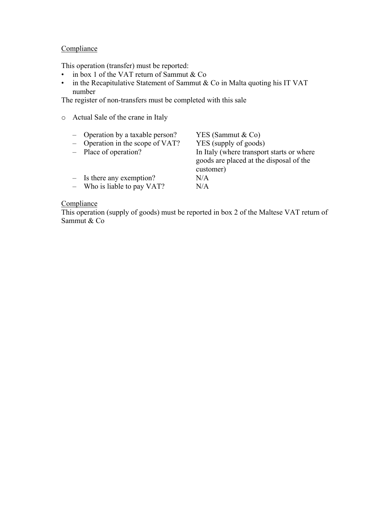# **Compliance**

This operation (transfer) must be reported:

o Actual Sale of the crane in Italy

- in box 1 of the VAT return of Sammut & Co
- in the Recapitulative Statement of Sammut & Co in Malta quoting his IT VAT number

The register of non-transfers must be completed with this sale

| - Operation by a taxable person?<br>- Operation in the scope of VAT? | YES (Sammut $& Co$ )<br>YES (supply of goods) |
|----------------------------------------------------------------------|-----------------------------------------------|
|                                                                      |                                               |
| - Place of operation?                                                | In Italy (where transport starts or where     |
|                                                                      | goods are placed at the disposal of the       |
|                                                                      | customer)                                     |
| $-$ Is there any exemption?                                          | N/A                                           |
| - Who is liable to pay VAT?                                          | N/A                                           |

#### **Compliance**

This operation (supply of goods) must be reported in box 2 of the Maltese VAT return of Sammut & Co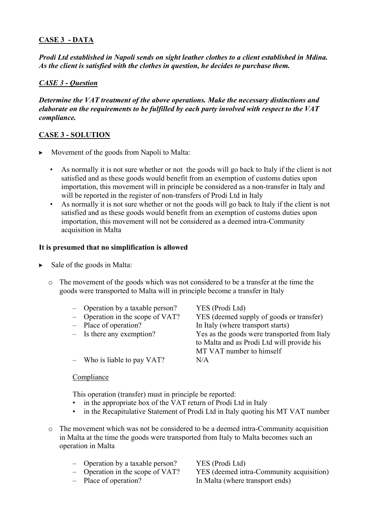## **CASE 3 - DATA**

*Prodi Ltd established in Napoli sends on sight leather clothes to a client established in Mdina. As the client is satisfied with the clothes in question, he decides to purchase them.* 

## *CASE 3 - Question*

*Determine the VAT treatment of the above operations. Make the necessary distinctions and elaborate on the requirements to be fulfilled by each party involved with respect to the VAT compliance.* 

## **CASE 3 - SOLUTION**

- $\triangleright$  Movement of the goods from Napoli to Malta:
	- As normally it is not sure whether or not the goods will go back to Italy if the client is not satisfied and as these goods would benefit from an exemption of customs duties upon importation, this movement will in principle be considered as a non-transfer in Italy and will be reported in the register of non-transfers of Prodi Ltd in Italy
	- As normally it is not sure whether or not the goods will go back to Italy if the client is not satisfied and as these goods would benefit from an exemption of customs duties upon importation, this movement will not be considered as a deemed intra-Community acquisition in Malta

#### **It is presumed that no simplification is allowed**

- $\triangleright$  Sale of the goods in Malta:
	- $\circ$  The movement of the goods which was not considered to be a transfer at the time the goods were transported to Malta will in principle become a transfer in Italy
		- Operation by a taxable person? YES (Prodi Ltd)
		- Operation in the scope of VAT? YES (deemed supply of goods or transfer)
		- Place of operation? In Italy (where transport starts)
		- Is there any exemption? Yes as the goods were transported from Italy
		- Who is liable to pay VAT? N/A

Compliance

This operation (transfer) must in principle be reported:

- in the appropriate box of the VAT return of Prodi Ltd in Italy
- in the Recapitulative Statement of Prodi Ltd in Italy quoting his MT VAT number
- o The movement which was not be considered to be a deemed intra-Community acquisition in Malta at the time the goods were transported from Italy to Malta becomes such an operation in Malta
	- Operation by a taxable person? YES (Prodi Ltd)
	-
	-

– Operation in the scope of VAT? YES (deemed intra-Community acquisition) – Place of operation? In Malta (where transport ends)

to Malta and as Prodi Ltd will provide his

MT VAT number to himself